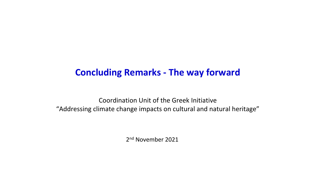# **Concluding Remarks - The way forward**

Coordination Unit of the Greek Initiative "Addressing climate change impacts on cultural and natural heritage"

2<sup>nd</sup> November 2021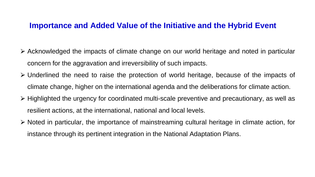#### **Importance and Added Value of the Initiative and the Hybrid Event**

- ⮚ Acknowledged the impacts of climate change on our world heritage and noted in particular concern for the aggravation and irreversibility of such impacts.
- ⮚ Underlined the need to raise the protection of world heritage, because of the impacts of climate change, higher on the international agenda and the deliberations for climate action.
- $\triangleright$  Highlighted the urgency for coordinated multi-scale preventive and precautionary, as well as resilient actions, at the international, national and local levels.
- ⮚ Noted in particular, the importance of mainstreaming cultural heritage in climate action, for instance through its pertinent integration in the National Adaptation Plans.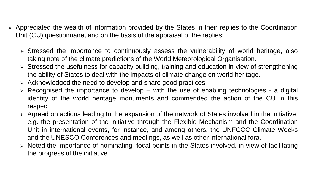- $\triangleright$  Appreciated the wealth of information provided by the States in their replies to the Coordination Unit (CU) questionnaire, and on the basis of the appraisal of the replies:
	- $\triangleright$  Stressed the importance to continuously assess the vulnerability of world heritage, also taking note of the climate predictions of the World Meteorological Organisation.
	- ⮚ Stressed the usefulness for capacity building, training and education in view of strengthening the ability of States to deal with the impacts of climate change on world heritage.
	- ⮚ Acknowledged the need to develop and share good practices.
	- $\triangleright$  Recognised the importance to develop with the use of enabling technologies a digital identity of the world heritage monuments and commended the action of the CU in this respect.
	- $\triangleright$  Agreed on actions leading to the expansion of the network of States involved in the initiative, e.g. the presentation of the initiative through the Flexible Mechanism and the Coordination Unit in international events, for instance, and among others, the UNFCCC Climate Weeks and the UNESCO Conferences and meetings, as well as other international fora.
	- ⮚ Noted the importance of nominating focal points in the States involved, in view of facilitating the progress of the initiative.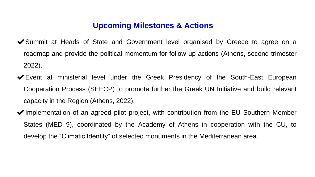## **Upcoming Milestones & Actions**

- ◆ Summit at Heads of State and Government level organised by Greece to agree on a roadmap and provide the political momentum for follow up actions (Athens, second trimester 2022).
- ✔Event at ministerial level under the Greek Presidency of the South-East European Cooperation Process (SEECP) to promote further the Greek UN Initiative and build relevant capacity in the Region (Athens, 2022).
- ◆Implementation of an agreed pilot project, with contribution from the EU Southern Member States (MED 9), coordinated by the Academy of Athens in cooperation with the CU, to develop the "Climatic Identity" of selected monuments in the Mediterranean area.